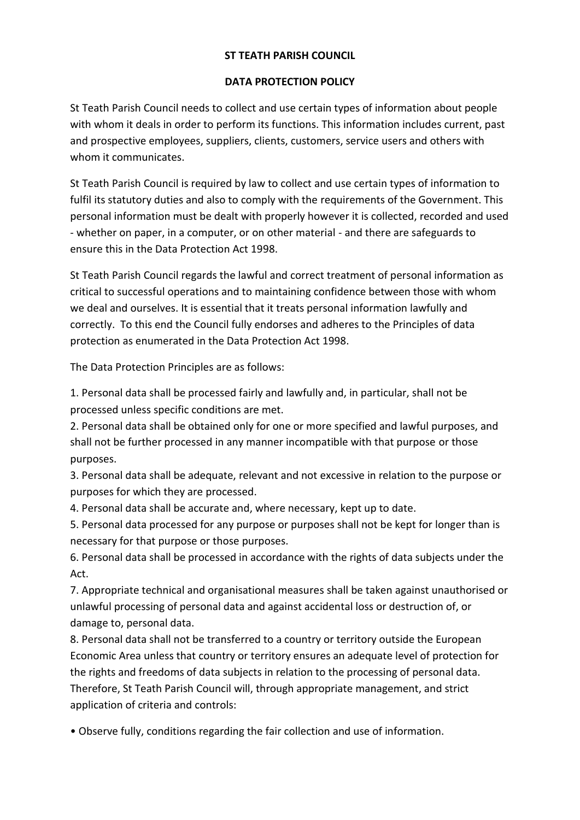## **ST TEATH PARISH COUNCIL**

## **DATA PROTECTION POLICY**

St Teath Parish Council needs to collect and use certain types of information about people with whom it deals in order to perform its functions. This information includes current, past and prospective employees, suppliers, clients, customers, service users and others with whom it communicates.

St Teath Parish Council is required by law to collect and use certain types of information to fulfil its statutory duties and also to comply with the requirements of the Government. This personal information must be dealt with properly however it is collected, recorded and used - whether on paper, in a computer, or on other material - and there are safeguards to ensure this in the Data Protection Act 1998.

St Teath Parish Council regards the lawful and correct treatment of personal information as critical to successful operations and to maintaining confidence between those with whom we deal and ourselves. It is essential that it treats personal information lawfully and correctly. To this end the Council fully endorses and adheres to the Principles of data protection as enumerated in the Data Protection Act 1998.

The Data Protection Principles are as follows:

1. Personal data shall be processed fairly and lawfully and, in particular, shall not be processed unless specific conditions are met.

2. Personal data shall be obtained only for one or more specified and lawful purposes, and shall not be further processed in any manner incompatible with that purpose or those purposes.

3. Personal data shall be adequate, relevant and not excessive in relation to the purpose or purposes for which they are processed.

4. Personal data shall be accurate and, where necessary, kept up to date.

5. Personal data processed for any purpose or purposes shall not be kept for longer than is necessary for that purpose or those purposes.

6. Personal data shall be processed in accordance with the rights of data subjects under the Act.

7. Appropriate technical and organisational measures shall be taken against unauthorised or unlawful processing of personal data and against accidental loss or destruction of, or damage to, personal data.

8. Personal data shall not be transferred to a country or territory outside the European Economic Area unless that country or territory ensures an adequate level of protection for the rights and freedoms of data subjects in relation to the processing of personal data. Therefore, St Teath Parish Council will, through appropriate management, and strict application of criteria and controls:

• Observe fully, conditions regarding the fair collection and use of information.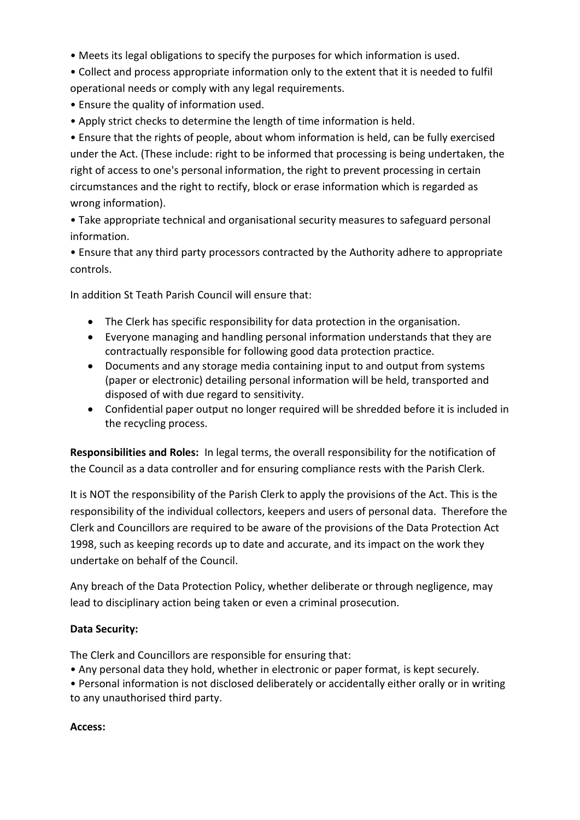- Meets its legal obligations to specify the purposes for which information is used.
- Collect and process appropriate information only to the extent that it is needed to fulfil operational needs or comply with any legal requirements.
- Ensure the quality of information used.
- Apply strict checks to determine the length of time information is held.

• Ensure that the rights of people, about whom information is held, can be fully exercised under the Act. (These include: right to be informed that processing is being undertaken, the right of access to one's personal information, the right to prevent processing in certain circumstances and the right to rectify, block or erase information which is regarded as wrong information).

• Take appropriate technical and organisational security measures to safeguard personal information.

• Ensure that any third party processors contracted by the Authority adhere to appropriate controls.

In addition St Teath Parish Council will ensure that:

- The Clerk has specific responsibility for data protection in the organisation.
- Everyone managing and handling personal information understands that they are contractually responsible for following good data protection practice.
- Documents and any storage media containing input to and output from systems (paper or electronic) detailing personal information will be held, transported and disposed of with due regard to sensitivity.
- Confidential paper output no longer required will be shredded before it is included in the recycling process.

**Responsibilities and Roles:** In legal terms, the overall responsibility for the notification of the Council as a data controller and for ensuring compliance rests with the Parish Clerk.

It is NOT the responsibility of the Parish Clerk to apply the provisions of the Act. This is the responsibility of the individual collectors, keepers and users of personal data. Therefore the Clerk and Councillors are required to be aware of the provisions of the Data Protection Act 1998, such as keeping records up to date and accurate, and its impact on the work they undertake on behalf of the Council.

Any breach of the Data Protection Policy, whether deliberate or through negligence, may lead to disciplinary action being taken or even a criminal prosecution.

## **Data Security:**

The Clerk and Councillors are responsible for ensuring that:

• Any personal data they hold, whether in electronic or paper format, is kept securely.

• Personal information is not disclosed deliberately or accidentally either orally or in writing to any unauthorised third party.

## **Access:**